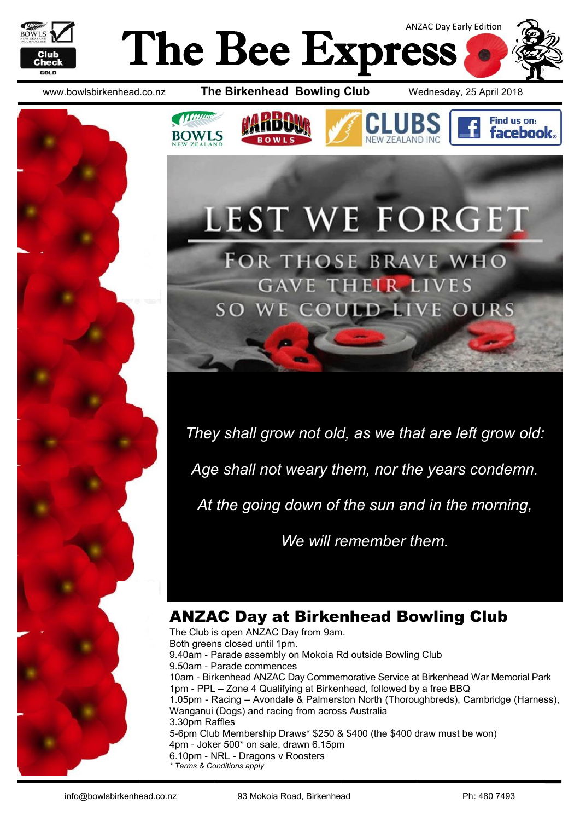



**Munney** 

**BOWLS** 





Find us on: **facebook** 



FOR THOSE BRAVE WHO **GAVE THEIR LIVES** WE COULD LIVE OURS  $SO<sub>2</sub>$ 

LEST WE FORGET

*They shall grow not old, as we that are left grow old:*

*Age shall not weary them, nor the years condemn.*

*At the going down of the sun and in the morning,*

*We will remember them.*

# ANZAC Day at Birkenhead Bowling Club

The Club is open ANZAC Day from 9am. Both greens closed until 1pm. 9.40am - Parade assembly on Mokoia Rd outside Bowling Club 9.50am - Parade commences 10am - Birkenhead ANZAC Day Commemorative Service at Birkenhead War Memorial Park 1pm - PPL – Zone 4 Qualifying at Birkenhead, followed by a free BBQ 1.05pm - Racing – Avondale & Palmerston North (Thoroughbreds), Cambridge (Harness), Wanganui (Dogs) and racing from across Australia 3.30pm Raffles 5-6pm Club Membership Draws\* \$250 & \$400 (the \$400 draw must be won) 4pm - Joker 500\* on sale, drawn 6.15pm 6.10pm - NRL - Dragons v Roosters *\* Terms & Conditions apply*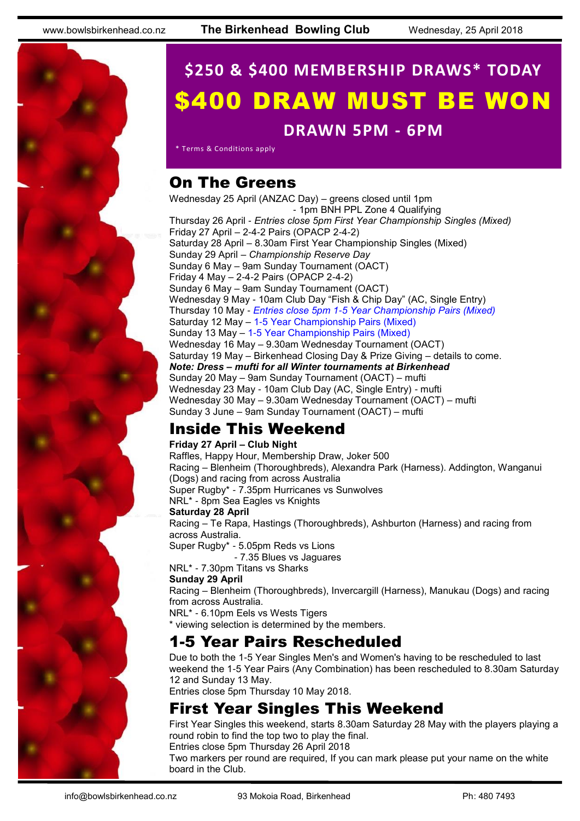# **\$250 & \$400 MEMBERSHIP DRAWS\* TODAY** \$400 DRAW MUST BE WON

#### **DRAWN 5PM - 6PM**

\* Terms & Conditions apply

# On The Greens

Wednesday 25 April (ANZAC Day) – greens closed until 1pm - 1pm BNH PPL Zone 4 Qualifying Thursday 26 April - *Entries close 5pm First Year Championship Singles (Mixed)* Friday 27 April – 2-4-2 Pairs (OPACP 2-4-2) Saturday 28 April – 8.30am First Year Championship Singles (Mixed) Sunday 29 April – *Championship Reserve Day* Sunday 6 May – 9am Sunday Tournament (OACT) Friday 4 May – 2-4-2 Pairs (OPACP 2-4-2) Sunday 6 May – 9am Sunday Tournament (OACT) Wednesday 9 May - 10am Club Day "Fish & Chip Day" (AC, Single Entry) Thursday 10 May - *Entries close 5pm 1-5 Year Championship Pairs (Mixed)* Saturday 12 May – 1-5 Year Championship Pairs (Mixed) Sunday 13 May – 1-5 Year Championship Pairs (Mixed) Wednesday 16 May – 9.30am Wednesday Tournament (OACT) Saturday 19 May – Birkenhead Closing Day & Prize Giving – details to come. *Note: Dress – mufti for all Winter tournaments at Birkenhead* Sunday 20 May – 9am Sunday Tournament (OACT) – mufti Wednesday 23 May - 10am Club Day (AC, Single Entry) - mufti Wednesday 30 May – 9.30am Wednesday Tournament (OACT) – mufti Sunday 3 June – 9am Sunday Tournament (OACT) – mufti

# Inside This Weekend

#### **Friday 27 April – Club Night**

Raffles, Happy Hour, Membership Draw, Joker 500 Racing – Blenheim (Thoroughbreds), Alexandra Park (Harness). Addington, Wanganui (Dogs) and racing from across Australia Super Rugby\* - 7.35pm Hurricanes vs Sunwolves NRL\* - 8pm Sea Eagles vs Knights **Saturday 28 April** Racing – Te Rapa, Hastings (Thoroughbreds), Ashburton (Harness) and racing from across Australia. Super Rugby\* - 5.05pm Reds vs Lions - 7.35 Blues vs Jaguares NRL\* - 7.30pm Titans vs Sharks **Sunday 29 April**

Racing – Blenheim (Thoroughbreds), Invercargill (Harness), Manukau (Dogs) and racing from across Australia.

NRL\* - 6.10pm Eels vs Wests Tigers

\* viewing selection is determined by the members.

### 1-5 Year Pairs Rescheduled

Due to both the 1-5 Year Singles Men's and Women's having to be rescheduled to last weekend the 1-5 Year Pairs (Any Combination) has been rescheduled to 8.30am Saturday 12 and Sunday 13 May.

Entries close 5pm Thursday 10 May 2018.

# First Year Singles This Weekend

First Year Singles this weekend, starts 8.30am Saturday 28 May with the players playing a round robin to find the top two to play the final.

Entries close 5pm Thursday 26 April 2018

Two markers per round are required, If you can mark please put your name on the white board in the Club.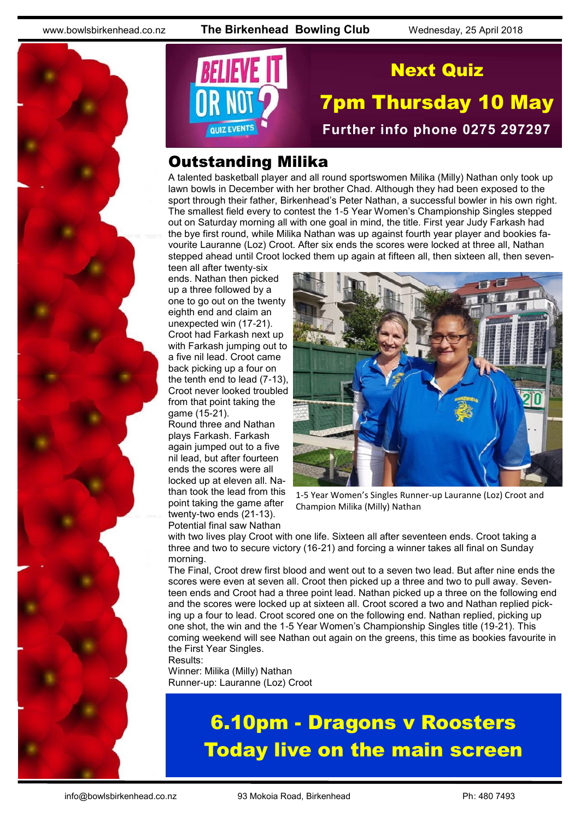www.bowlsbirkenhead.co.nz **The Birkenhead Bowling Club** Wednesday, 25 April 2018





# Next Quiz

# 7pm Thursday 10 May **Further info phone 0275 297297**

### Outstanding Milika

A talented basketball player and all round sportswomen Milika (Milly) Nathan only took up lawn bowls in December with her brother Chad. Although they had been exposed to the sport through their father, Birkenhead's Peter Nathan, a successful bowler in his own right. The smallest field every to contest the 1-5 Year Women's Championship Singles stepped out on Saturday morning all with one goal in mind, the title. First year Judy Farkash had the bye first round, while Milika Nathan was up against fourth year player and bookies favourite Lauranne (Loz) Croot. After six ends the scores were locked at three all, Nathan stepped ahead until Croot locked them up again at fifteen all, then sixteen all, then seven-

teen all after twenty-six ends. Nathan then picked up a three followed by a one to go out on the twenty eighth end and claim an unexpected win (17-21). Croot had Farkash next up with Farkash jumping out to a five nil lead. Croot came back picking up a four on the tenth end to lead (7-13), Croot never looked troubled from that point taking the game (15-21).

Round three and Nathan plays Farkash. Farkash again jumped out to a five nil lead, but after fourteen ends the scores were all locked up at eleven all. Nathan took the lead from this point taking the game after twenty-two ends (21-13). Potential final saw Nathan



1-5 Year Women's Singles Runner-up Lauranne (Loz) Croot and Champion Milika (Milly) Nathan

with two lives play Croot with one life. Sixteen all after seventeen ends. Croot taking a three and two to secure victory (16-21) and forcing a winner takes all final on Sunday morning.

The Final, Croot drew first blood and went out to a seven two lead. But after nine ends the scores were even at seven all. Croot then picked up a three and two to pull away. Seventeen ends and Croot had a three point lead. Nathan picked up a three on the following end and the scores were locked up at sixteen all. Croot scored a two and Nathan replied picking up a four to lead. Croot scored one on the following end. Nathan replied, picking up one shot, the win and the 1-5 Year Women's Championship Singles title (19-21). This coming weekend will see Nathan out again on the greens, this time as bookies favourite in the First Year Singles.

Results:

Winner: Milika (Milly) Nathan Runner-up: Lauranne (Loz) Croot

# 6.10pm - Dragons v Roosters Today live on the main screen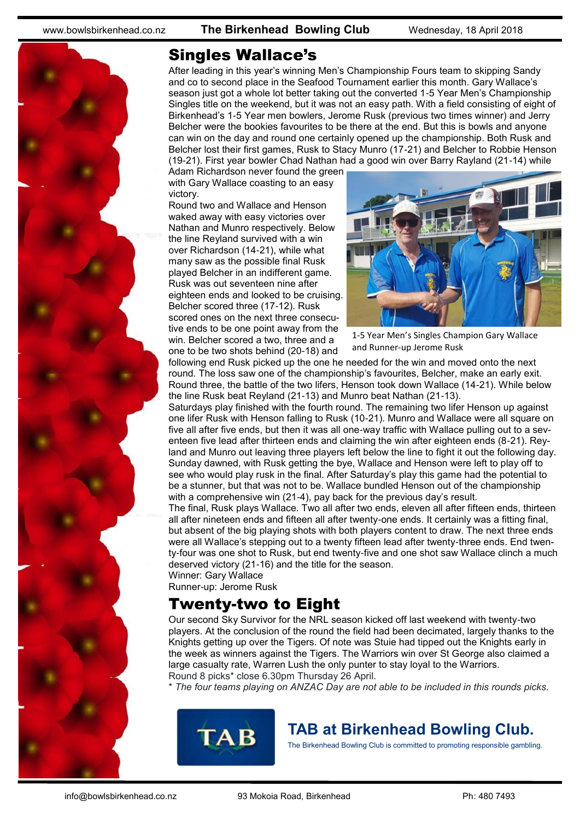

### Singles Wallace's

After leading in this year's winning Men's Championship Fours team to skipping Sandy and co to second place in the Seafood Tournament earlier this month. Gary Wallace's season just got a whole lot better taking out the converted 1-5 Year Men's Championship Singles title on the weekend, but it was not an easy path. With a field consisting of eight of Birkenhead's 1-5 Year men bowlers, Jerome Rusk (previous two times winner) and Jerry Belcher were the bookies favourites to be there at the end. But this is bowls and anyone can win on the day and round one certainly opened up the championship. Both Rusk and Belcher lost their first games, Rusk to Stacy Munro (17-21) and Belcher to Robbie Henson (19-21). First year bowler Chad Nathan had a good win over Barry Rayland (21-14) while

Adam Richardson never found the green with Gary Wallace coasting to an easy victory.

Round two and Wallace and Henson waked away with easy victories over Nathan and Munro respectively. Below the line Reyland survived with a win over Richardson (14-21), while what many saw as the possible final Rusk played Belcher in an indifferent game. Rusk was out seventeen nine after eighteen ends and looked to be cruising. Belcher scored three (17-12). Rusk scored ones on the next three consecutive ends to be one point away from the win. Belcher scored a two, three and a one to be two shots behind (20-18) and



1-5 Year Men's Singles Champion Gary Wallace and Runner-up Jerome Rusk

following end Rusk picked up the one he needed for the win and moved onto the next round. The loss saw one of the championship's favourites, Belcher, make an early exit. Round three, the battle of the two lifers, Henson took down Wallace (14-21). While below the line Rusk beat Reyland (21-13) and Munro beat Nathan (21-13).

Saturdays play finished with the fourth round. The remaining two lifer Henson up against one lifer Rusk with Henson falling to Rusk (10-21). Munro and Wallace were all square on five all after five ends, but then it was all one-way traffic with Wallace pulling out to a seventeen five lead after thirteen ends and claiming the win after eighteen ends (8-21). Reyland and Munro out leaving three players left below the line to fight it out the following day. Sunday dawned, with Rusk getting the bye, Wallace and Henson were left to play off to see who would play rusk in the final. After Saturday's play this game had the potential to be a stunner, but that was not to be. Wallace bundled Henson out of the championship with a comprehensive win (21-4), pay back for the previous day's result.

The final, Rusk plays Wallace. Two all after two ends, eleven all after fifteen ends, thirteen all after nineteen ends and fifteen all after twenty-one ends. It certainly was a fitting final, but absent of the big playing shots with both players content to draw. The next three ends were all Wallace's stepping out to a twenty fifteen lead after twenty-three ends. End twenty-four was one shot to Rusk, but end twenty-five and one shot saw Wallace clinch a much deserved victory (21-16) and the title for the season.

Winner: Gary Wallace Runner-up: Jerome Rusk

### Twenty-two to Eight

Our second Sky Survivor for the NRL season kicked off last weekend with twenty-two players. At the conclusion of the round the field had been decimated, largely thanks to the Knights getting up over the Tigers. Of note was Stuie had tipped out the Knights early in the week as winners against the Tigers. The Warriors win over St George also claimed a large casualty rate, Warren Lush the only punter to stay loyal to the Warriors. Round 8 picks\* close 6.30pm Thursday 26 April.

\* *The four teams playing on ANZAC Day are not able to be included in this rounds picks.*



# **TAB at Birkenhead Bowling Club.**

The Birkenhead Bowling Club is committed to promoting responsible gambling.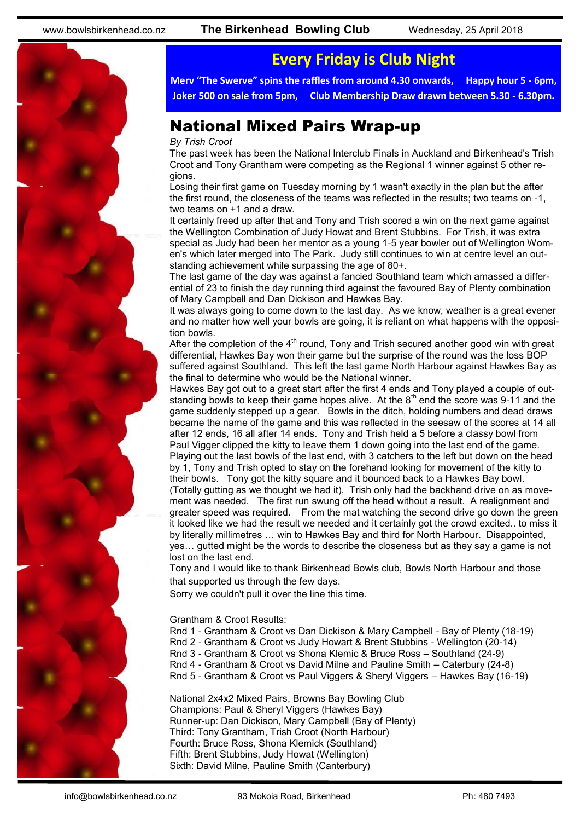

# **Every Friday is Club Night**

**Merv "The Swerve" spins the raffles from around 4.30 onwards, Happy hour 5 - 6pm, Joker 500 on sale from 5pm, Club Membership Draw drawn between 5.30 - 6.30pm.**

### National Mixed Pairs Wrap-up

#### *By Trish Croot*

The past week has been the National Interclub Finals in Auckland and Birkenhead's Trish Croot and Tony Grantham were competing as the Regional 1 winner against 5 other regions.

Losing their first game on Tuesday morning by 1 wasn't exactly in the plan but the after the first round, the closeness of the teams was reflected in the results; two teams on -1, two teams on +1 and a draw.

It certainly freed up after that and Tony and Trish scored a win on the next game against the Wellington Combination of Judy Howat and Brent Stubbins. For Trish, it was extra special as Judy had been her mentor as a young 1-5 year bowler out of Wellington Women's which later merged into The Park. Judy still continues to win at centre level an outstanding achievement while surpassing the age of 80+.

The last game of the day was against a fancied Southland team which amassed a differential of 23 to finish the day running third against the favoured Bay of Plenty combination of Mary Campbell and Dan Dickison and Hawkes Bay.

It was always going to come down to the last day. As we know, weather is a great evener and no matter how well your bowls are going, it is reliant on what happens with the opposition bowls.

After the completion of the  $4<sup>th</sup>$  round, Tony and Trish secured another good win with great differential, Hawkes Bay won their game but the surprise of the round was the loss BOP suffered against Southland. This left the last game North Harbour against Hawkes Bay as the final to determine who would be the National winner.

Hawkes Bay got out to a great start after the first 4 ends and Tony played a couple of outstanding bowls to keep their game hopes alive. At the  $8<sup>th</sup>$  end the score was 9-11 and the game suddenly stepped up a gear. Bowls in the ditch, holding numbers and dead draws became the name of the game and this was reflected in the seesaw of the scores at 14 all after 12 ends, 16 all after 14 ends. Tony and Trish held a 5 before a classy bowl from Paul Vigger clipped the kitty to leave them 1 down going into the last end of the game. Playing out the last bowls of the last end, with 3 catchers to the left but down on the head by 1, Tony and Trish opted to stay on the forehand looking for movement of the kitty to their bowls. Tony got the kitty square and it bounced back to a Hawkes Bay bowl. (Totally gutting as we thought we had it). Trish only had the backhand drive on as movement was needed. The first run swung off the head without a result. A realignment and

greater speed was required. From the mat watching the second drive go down the green it looked like we had the result we needed and it certainly got the crowd excited.. to miss it by literally millimetres … win to Hawkes Bay and third for North Harbour. Disappointed, yes… gutted might be the words to describe the closeness but as they say a game is not lost on the last end.

Tony and I would like to thank Birkenhead Bowls club, Bowls North Harbour and those that supported us through the few days.

Sorry we couldn't pull it over the line this time.

Grantham & Croot Results:

Rnd 1 - Grantham & Croot vs Dan Dickison & Mary Campbell - Bay of Plenty (18-19)

Rnd 2 - Grantham & Croot vs Judy Howart & Brent Stubbins - Wellington (20-14)

Rnd 3 - Grantham & Croot vs Shona Klemic & Bruce Ross – Southland (24-9)

Rnd 4 - Grantham & Croot vs David Milne and Pauline Smith – Caterbury (24-8)

Rnd 5 - Grantham & Croot vs Paul Viggers & Sheryl Viggers – Hawkes Bay (16-19)

National 2x4x2 Mixed Pairs, Browns Bay Bowling Club Champions: Paul & Sheryl Viggers (Hawkes Bay) Runner-up: Dan Dickison, Mary Campbell (Bay of Plenty) Third: Tony Grantham, Trish Croot (North Harbour) Fourth: Bruce Ross, Shona Klemick (Southland) Fifth: Brent Stubbins, Judy Howat (Wellington) Sixth: David Milne, Pauline Smith (Canterbury)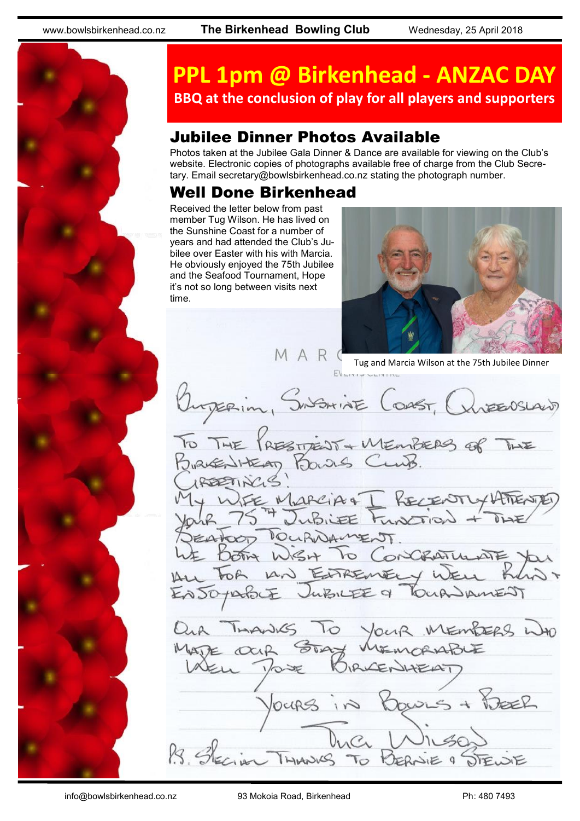

# **PPL 1pm @ Birkenhead - ANZAC DAY BBQ at the conclusion of play for all players and supporters**

# Jubilee Dinner Photos Available

Photos taken at the Jubilee Gala Dinner & Dance are available for viewing on the Club's website. Electronic copies of photographs available free of charge from the Club Secretary. Email [secretary@bowlsbirkenhead.co.nz](http://www.bowlsbirkenhead.com/secretary@bowlsbirkenhead.co.nz) stating the photograph number.

### Well Done Birkenhead

Received the letter below from past member Tug Wilson. He has lived on the Sunshine Coast for a number of years and had attended the Club's Jubilee over Easter with his with Marcia. He obviously enjoyed the 75th Jubilee and the Seafood Tournament, Hope it's not so long between visits next time.



M A R C Tug and Marcia Wilson at the 75th Jubilee Dinner Ourperin, SUSHINE COAST, OUTENSLAND THE PRESTRENT + MEMBERS OF MARCIANT RECENTLY ATTENTE DOURNAMENT To Concertum MEMBERS WO THANKS To Your STAY Bowns + DEER locips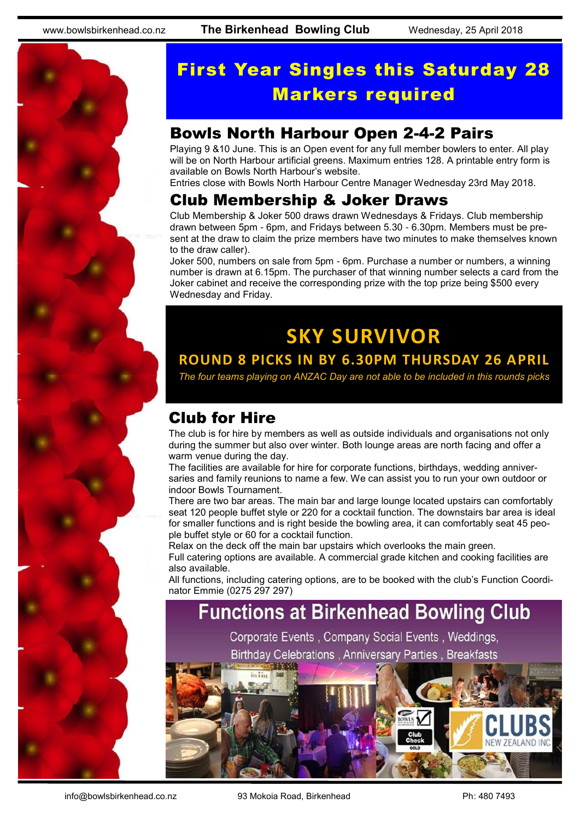

# First Year Singles this Saturday 28 Markers required

# Bowls North Harbour Open 2-4-2 Pairs

Playing 9 &10 June. This is an Open event for any full member bowlers to enter. All play will be on North Harbour artificial greens. Maximum entries 128. A printable entry form is available on Bowls North Harbour's website.

Entries close with Bowls North Harbour Centre Manager Wednesday 23rd May 2018.

### Club Membership & Joker Draws

Club Membership & Joker 500 draws drawn Wednesdays & Fridays. Club membership drawn between 5pm - 6pm, and Fridays between 5.30 - 6.30pm. Members must be present at the draw to claim the prize members have two minutes to make themselves known to the draw caller).

Joker 500, numbers on sale from 5pm - 6pm. Purchase a number or numbers, a winning number is drawn at 6.15pm. The purchaser of that winning number selects a card from the Joker cabinet and receive the corresponding prize with the top prize being \$500 every Wednesday and Friday.

# **SKY SURVIVOR ROUND 8 PICKS IN BY 6.30PM THURSDAY 26 APRIL**

*The four teams playing on ANZAC Day are not able to be included in this rounds picks*

# Club for Hire

The club is for hire by members as well as outside individuals and organisations not only during the summer but also over winter. Both lounge areas are north facing and offer a warm venue during the day.

The facilities are available for hire for corporate functions, birthdays, wedding anniversaries and family reunions to name a few. We can assist you to run your own outdoor or indoor Bowls Tournament.

There are two bar areas. The main bar and large lounge located upstairs can comfortably seat 120 people buffet style or 220 for a cocktail function. The downstairs bar area is ideal for smaller functions and is right beside the bowling area, it can comfortably seat 45 people buffet style or 60 for a cocktail function.

Relax on the deck off the main bar upstairs which overlooks the main green. Full catering options are available. A commercial grade kitchen and cooking facilities are also available.

All functions, including catering options, are to be booked with the club's Function Coordinator Emmie (0275 297 297)

# **Functions at Birkenhead Bowling Club**

Corporate Events, Company Social Events, Weddings,

**Birthday Celebrations, Anniversary Parties, Breakfasts**